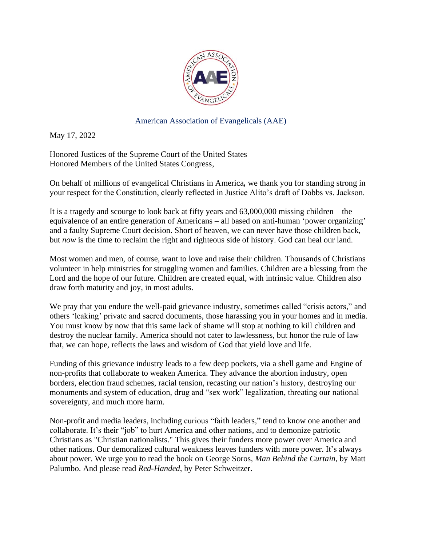

American Association of Evangelicals (AAE)

May 17, 2022

Honored Justices of the Supreme Court of the United States Honored Members of the United States Congress,

On behalf of millions of evangelical Christians in America*,* we thank you for standing strong in your respect for the Constitution, clearly reflected in Justice Alito's draft of Dobbs vs. Jackson.

It is a tragedy and scourge to look back at fifty years and 63,000,000 missing children – the equivalence of an entire generation of Americans – all based on anti-human 'power organizing' and a faulty Supreme Court decision. Short of heaven, we can never have those children back, but *now* is the time to reclaim the right and righteous side of history. God can heal our land.

Most women and men, of course, want to love and raise their children. Thousands of Christians volunteer in help ministries for struggling women and families. Children are a blessing from the Lord and the hope of our future. Children are created equal, with intrinsic value. Children also draw forth maturity and joy, in most adults.

We pray that you endure the well-paid grievance industry, sometimes called "crisis actors," and others 'leaking' private and sacred documents, those harassing you in your homes and in media. You must know by now that this same lack of shame will stop at nothing to kill children and destroy the nuclear family. America should not cater to lawlessness, but honor the rule of law that, we can hope, reflects the laws and wisdom of God that yield love and life.

Funding of this grievance industry leads to a few deep pockets, via a shell game and Engine of non-profits that collaborate to weaken America. They advance the abortion industry, open borders, election fraud schemes, racial tension, recasting our nation's history, destroying our monuments and system of education, drug and "sex work" legalization, threating our national sovereignty, and much more harm.

Non-profit and media leaders, including curious "faith leaders," tend to know one another and collaborate. It's their "job" to hurt America and other nations, and to demonize patriotic Christians as "Christian nationalists." This gives their funders more power over America and other nations. Our demoralized cultural weakness leaves funders with more power. It's always about power. We urge you to read the book on George Soros, *Man Behind the Curtain*, by Matt Palumbo. And please read *Red-Handed*, by Peter Schweitzer.